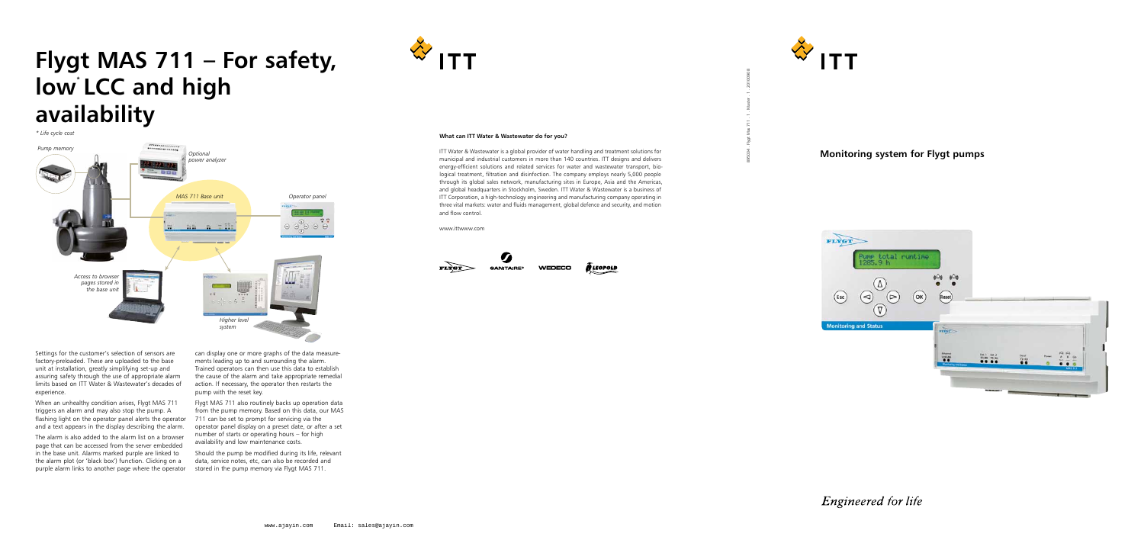Settings for the customer's selection of sensors are factory-preloaded. These are uploaded to the base unit at installation, greatly simplifying set-up and assuring safety through the use of appropriate alarm limits based on ITT Water & Wastewater's decades of experience.

When an unhealthy condition arises, Flygt MAS 711 triggers an alarm and may also stop the pump. A flashing light on the operator panel alerts the operator and a text appears in the display describing the alarm.

The alarm is also added to the alarm list on a browser page that can be accessed from the server embedded in the base unit. Alarms marked purple are linked to the alarm plot (or 'black box') function. Clicking on a purple alarm links to another page where the operator

can display one or more graphs of the data measurements leading up to and surrounding the alarm. Trained operators can then use this data to establish the cause of the alarm and take appropriate remedial action. If necessary, the operator then restarts the pump with the reset key.

Flygt MAS 711 also routinely backs up operation data from the pump memory. Based on this data, our MAS 711 can be set to prompt for servicing via the operator panel display on a preset date, or after a set number of starts or operating hours – for high availability and low maintenance costs.

Should the pump be modified during its life, relevant data, service notes, etc, can also be recorded and stored in the pump memory via Flygt MAS 711.



# **Flygt MAS 711 – For safety,**  low LCC and high **availability**



895034 . Flygt Mas 711 . 1 . Master . 1 . 20100908



## **Monitoring system for Flygt pumps**



Engineered for life

*\* Life cycle cost*

#### **What can ITT Water & Wastewater do for you?**

ITT Water & Wastewater is a global provider of water handling and treatment solutions for municipal and industrial customers in more than 140 countries. ITT designs and delivers energy-efficient solutions and related services for water and wastewater transport, biological treatment, filtration and disinfection. The company employs nearly 5,000 people through its global sales network, manufacturing sites in Europe, Asia and the Americas, and global headquarters in Stockholm, Sweden. ITT Water & Wastewater is a business of ITT Corporation, a high-technology engineering and manufacturing company operating in three vital markets: water and fluids management, global defence and security, and motion and flow control.

www.ittwww.com